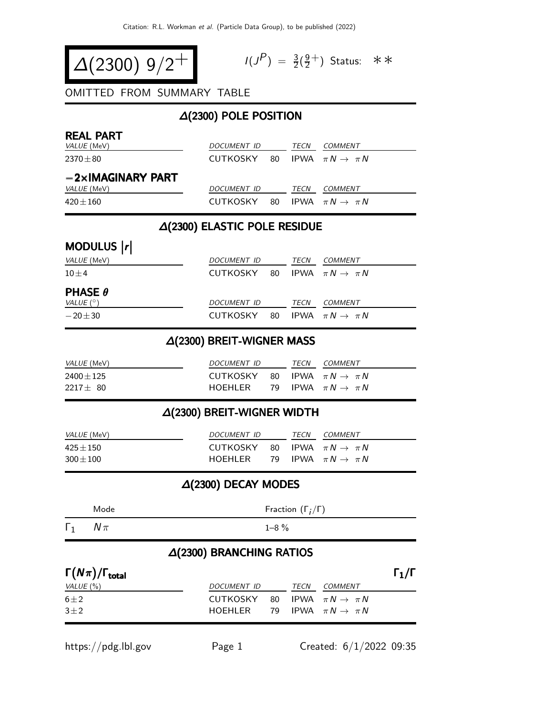$$
\Delta(2300) 9/2^+
$$

$$
I(J^P) = \frac{3}{2}(\frac{9}{2}^+)
$$
 Status:  $\ast \ast$ 

OMITTED FROM SUMMARY TABLE

### ∆(2300) POLE POSITION

| <b>REAL PART</b><br>VALUE (MeV) | DOCUMENT ID        |     | TECN | <b>COMMENT</b>                    |
|---------------------------------|--------------------|-----|------|-----------------------------------|
| $2370 \pm 80$                   | CUTKOSKY           |     |      | 80 IPWA $\pi N \rightarrow \pi N$ |
| $-2\times$ IMAGINARY PART       |                    |     |      |                                   |
| VALUE (MeV)                     | <b>DOCUMENT ID</b> |     | TECN | COMMENT                           |
| $420 + 160$                     | <b>CUTKOSKY</b>    | 80. |      | IPWA $\pi N \rightarrow \pi N$    |

#### ∆(2300) ELASTIC POLE RESIDUE

# MODULUS |r|

| <i>VALUE</i> (MeV)               | DOCUMENT ID                                |  | <i>TECN</i> | <i>COMMENT</i> |
|----------------------------------|--------------------------------------------|--|-------------|----------------|
| $10 + 4$                         | CUTKOSKY 80 IPWA $\pi N \rightarrow \pi N$ |  |             |                |
| <b>PHASE <math>\theta</math></b> |                                            |  |             |                |
| VALUE $(^\circ)$                 | DOCUMENT ID                                |  | TECN        | <i>COMMENT</i> |
| $-20\pm 30$                      | CUTKOSKY 80 IPWA $\pi N \rightarrow \pi N$ |  |             |                |

#### ∆(2300) BREIT-WIGNER MASS

| <i>VALUE</i> (MeV)              | DOCUMENT ID                                            |  | TECN | <i>COMMENT</i>                    |
|---------------------------------|--------------------------------------------------------|--|------|-----------------------------------|
| $2400 \pm 125$<br>$2217 \pm 80$ | CUTKOSKY 80 IPWA $\pi N \rightarrow \pi N$<br>HOFHI FR |  |      | 79 IPWA $\pi N \rightarrow \pi N$ |

# ∆(2300) BREIT-WIGNER WIDTH

| <i>VALUE</i> (MeV) | <i>DOCUMENT ID</i>                         | TECN | COMMENT                   |
|--------------------|--------------------------------------------|------|---------------------------|
| $425 \pm 150$      | CUTKOSKY 80 IPWA $\pi N \rightarrow \pi N$ |      |                           |
| $300 \pm 100$      | HOFHI FR                                   |      | 79 IPWA $\pi N \to \pi N$ |

### ∆(2300) DECAY MODES

| Mode                              | Fraction $(\Gamma_i/\Gamma)$    |    |      |                                   |                   |  |  |
|-----------------------------------|---------------------------------|----|------|-----------------------------------|-------------------|--|--|
| $N\pi$                            | $1 - 8 \%$                      |    |      |                                   |                   |  |  |
|                                   | $\Delta(2300)$ BRANCHING RATIOS |    |      |                                   |                   |  |  |
| $\Gamma(N\pi)/\Gamma_{\rm total}$ |                                 |    |      |                                   | $\Gamma_1/\Gamma$ |  |  |
| VALUE $(\%)$                      | DOCUMENT ID                     |    | TECN | COMMENT                           |                   |  |  |
| $6 \pm 2$                         | <b>CUTKOSKY</b>                 | 80 |      | IPWA $\pi N \rightarrow \pi N$    |                   |  |  |
| $3\pm2$                           | HOEHLER                         |    |      | 79 IPWA $\pi N \rightarrow \pi N$ |                   |  |  |

https://pdg.lbl.gov Page 1 Created: 6/1/2022 09:35